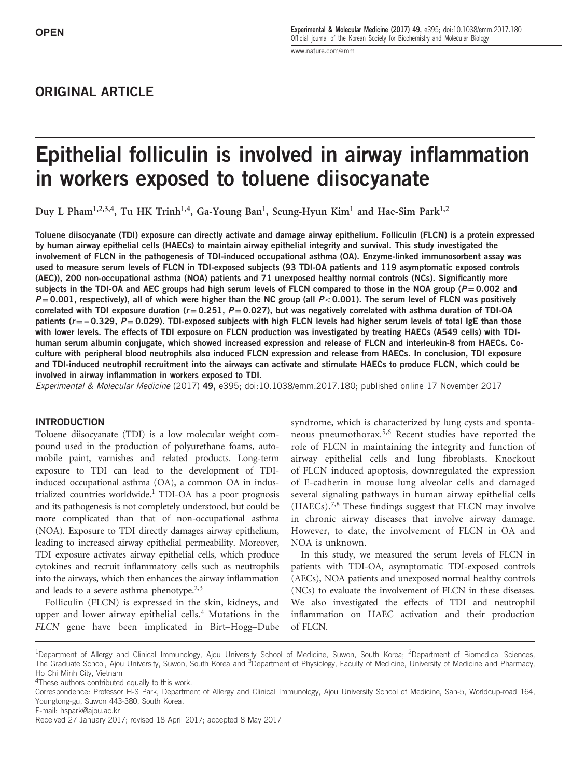[www.nature.com/emm](http://www.nature.com/emm)

# ORIGINAL ARTICLE

# Epithelial folliculin is involved in airway inflammation in workers exposed to toluene diisocyanate

Duy L Pham<sup>1,2,3,4</sup>, Tu HK Trinh<sup>1,4</sup>, Ga-Young Ban<sup>1</sup>, Seung-Hyun Kim<sup>1</sup> and Hae-Sim Park<sup>1,2</sup>

Toluene diisocyanate (TDI) exposure can directly activate and damage airway epithelium. Folliculin (FLCN) is a protein expressed by human airway epithelial cells (HAECs) to maintain airway epithelial integrity and survival. This study investigated the involvement of FLCN in the pathogenesis of TDI-induced occupational asthma (OA). Enzyme-linked immunosorbent assay was used to measure serum levels of FLCN in TDI-exposed subjects (93 TDI-OA patients and 119 asymptomatic exposed controls (AEC)), 200 non-occupational asthma (NOA) patients and 71 unexposed healthy normal controls (NCs). Significantly more subjects in the TDI-OA and AEC groups had high serum levels of FLCN compared to those in the NOA group ( $P = 0.002$  and  $P = 0.001$ , respectively), all of which were higher than the NC group (all  $P < 0.001$ ). The serum level of FLCN was positively correlated with TDI exposure duration ( $r = 0.251$ ,  $P = 0.027$ ), but was negatively correlated with asthma duration of TDI-OA patients ( $r = -0.329$ ,  $P = 0.029$ ). TDI-exposed subjects with high FLCN levels had higher serum levels of total IgE than those with lower levels. The effects of TDI exposure on FLCN production was investigated by treating HAECs (A549 cells) with TDIhuman serum albumin conjugate, which showed increased expression and release of FLCN and interleukin-8 from HAECs. Coculture with peripheral blood neutrophils also induced FLCN expression and release from HAECs. In conclusion, TDI exposure and TDI-induced neutrophil recruitment into the airways can activate and stimulate HAECs to produce FLCN, which could be involved in airway inflammation in workers exposed to TDI.

Experimental & Molecular Medicine (2017) 49, e395; doi[:10.1038/emm.2017.180](http://dx.doi.org/10.1038/emm.2017.180); published online 17 November 2017

#### INTRODUCTION

Toluene diisocyanate (TDI) is a low molecular weight compound used in the production of polyurethane foams, automobile paint, varnishes and related products. Long-term exposure to TDI can lead to the development of TDIinduced occupational asthma (OA), a common OA in industrialized countries worldwide[.1](#page-5-0) TDI-OA has a poor prognosis and its pathogenesis is not completely understood, but could be more complicated than that of non-occupational asthma (NOA). Exposure to TDI directly damages airway epithelium, leading to increased airway epithelial permeability. Moreover, TDI exposure activates airway epithelial cells, which produce cytokines and recruit inflammatory cells such as neutrophils into the airways, which then enhances the airway inflammation and leads to a severe asthma phenotype.<sup>2,3</sup>

Folliculin (FLCN) is expressed in the skin, kidneys, and upper and lower airway epithelial cells.<sup>[4](#page-5-0)</sup> Mutations in the FLCN gene have been implicated in Birt–Hogg–Dube syndrome, which is characterized by lung cysts and spontaneous pneumothorax.[5](#page-5-0),[6](#page-5-0) Recent studies have reported the role of FLCN in maintaining the integrity and function of airway epithelial cells and lung fibroblasts. Knockout of FLCN induced apoptosis, downregulated the expression of E-cadherin in mouse lung alveolar cells and damaged several signaling pathways in human airway epithelial cells (HAECs).[7,8](#page-5-0) These findings suggest that FLCN may involve in chronic airway diseases that involve airway damage. However, to date, the involvement of FLCN in OA and NOA is unknown.

In this study, we measured the serum levels of FLCN in patients with TDI-OA, asymptomatic TDI-exposed controls (AECs), NOA patients and unexposed normal healthy controls (NCs) to evaluate the involvement of FLCN in these diseases. We also investigated the effects of TDI and neutrophil inflammation on HAEC activation and their production of FLCN.

<sup>&</sup>lt;sup>1</sup>Department of Allergy and Clinical Immunology, Ajou University School of Medicine, Suwon, South Korea; <sup>2</sup>Department of Biomedical Sciences, The Graduate School, Ajou University, Suwon, South Korea and <sup>3</sup>Department of Physiology, Faculty of Medicine, University of Medicine and Pharmacy, Ho Chi Minh City, Vietnam

<sup>&</sup>lt;sup>4</sup>These authors contributed equally to this work.

Correspondence: Professor H-S Park, Department of Allergy and Clinical Immunology, Ajou University School of Medicine, San-5, Worldcup-road 164, Youngtong-gu, Suwon 443-380, South Korea.

E-mail: [hspark@ajou.ac.kr](mailto:hspark@ajou.ac.kr)

Received 27 January 2017; revised 18 April 2017; accepted 8 May 2017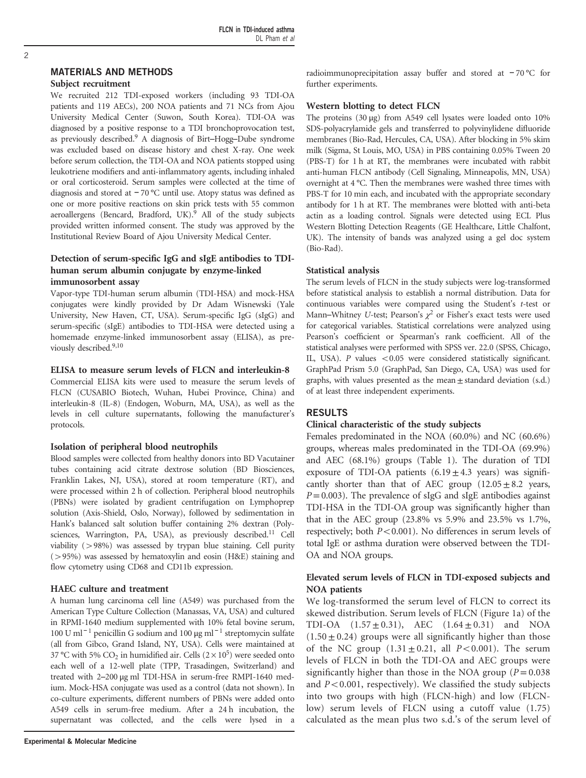# MATERIALS AND METHODS

#### Subject recruitment

We recruited 212 TDI-exposed workers (including 93 TDI-OA patients and 119 AECs), 200 NOA patients and 71 NCs from Ajou University Medical Center (Suwon, South Korea). TDI-OA was diagnosed by a positive response to a TDI bronchoprovocation test, as previously described[.9](#page-5-0) A diagnosis of Birt–Hogg–Dube syndrome was excluded based on disease history and chest X-ray. One week before serum collection, the TDI-OA and NOA patients stopped using leukotriene modifiers and anti-inflammatory agents, including inhaled or oral corticosteroid. Serum samples were collected at the time of diagnosis and stored at − 70 °C until use. Atopy status was defined as one or more positive reactions on skin prick tests with 55 common aeroallergens (Bencard, Bradford, UK).<sup>[9](#page-5-0)</sup> All of the study subjects provided written informed consent. The study was approved by the Institutional Review Board of Ajou University Medical Center.

# Detection of serum-specific IgG and sIgE antibodies to TDIhuman serum albumin conjugate by enzyme-linked immunosorbent assay

Vapor-type TDI-human serum albumin (TDI-HSA) and mock-HSA conjugates were kindly provided by Dr Adam Wisnewski (Yale University, New Haven, CT, USA). Serum-specific IgG (sIgG) and serum-specific (sIgE) antibodies to TDI-HSA were detected using a homemade enzyme-linked immunosorbent assay (ELISA), as previously described[.9](#page-5-0),[10](#page-5-0)

#### ELISA to measure serum levels of FLCN and interleukin-8

Commercial ELISA kits were used to measure the serum levels of FLCN (CUSABIO Biotech, Wuhan, Hubei Province, China) and interleukin-8 (IL-8) (Endogen, Woburn, MA, USA), as well as the levels in cell culture supernatants, following the manufacturer's protocols.

#### Isolation of peripheral blood neutrophils

Blood samples were collected from healthy donors into BD Vacutainer tubes containing acid citrate dextrose solution (BD Biosciences, Franklin Lakes, NJ, USA), stored at room temperature (RT), and were processed within 2 h of collection. Peripheral blood neutrophils (PBNs) were isolated by gradient centrifugation on Lymphoprep solution (Axis-Shield, Oslo, Norway), followed by sedimentation in Hank's balanced salt solution buffer containing 2% dextran (Polysciences, Warrington, PA, USA), as previously described.<sup>11</sup> Cell viability  $(>98%)$  was assessed by trypan blue staining. Cell purity  $(>95%)$  was assessed by hematoxylin and eosin (H&E) staining and flow cytometry using CD68 and CD11b expression.

#### HAEC culture and treatment

A human lung carcinoma cell line (A549) was purchased from the American Type Culture Collection (Manassas, VA, USA) and cultured in RPMI-1640 medium supplemented with 10% fetal bovine serum, 100 U ml<sup>-1</sup> penicillin G sodium and 100 μg ml<sup>-1</sup> streptomycin sulfate (all from Gibco, Grand Island, NY, USA). Cells were maintained at 37 °C with 5%  $CO<sub>2</sub>$  in humidified air. Cells ( $2 \times 10^5$ ) were seeded onto each well of a 12-well plate (TPP, Trasadingen, Switzerland) and treated with 2–200 μg ml TDI-HSA in serum-free RMPI-1640 medium. Mock-HSA conjugate was used as a control (data not shown). In co-culture experiments, different numbers of PBNs were added onto A549 cells in serum-free medium. After a 24 h incubation, the supernatant was collected, and the cells were lysed in a

radioimmunoprecipitation assay buffer and stored at − 70 °C for further experiments.

# Western blotting to detect FLCN

The proteins (30 μg) from A549 cell lysates were loaded onto 10% SDS-polyacrylamide gels and transferred to polyvinylidene difluoride membranes (Bio-Rad, Hercules, CA, USA). After blocking in 5% skim milk (Sigma, St Louis, MO, USA) in PBS containing 0.05% Tween 20 (PBS-T) for 1 h at RT, the membranes were incubated with rabbit anti-human FLCN antibody (Cell Signaling, Minneapolis, MN, USA) overnight at 4 °C. Then the membranes were washed three times with PBS-T for 10 min each, and incubated with the appropriate secondary antibody for 1 h at RT. The membranes were blotted with anti-beta actin as a loading control. Signals were detected using ECL Plus Western Blotting Detection Reagents (GE Healthcare, Little Chalfont, UK). The intensity of bands was analyzed using a gel doc system (Bio-Rad).

#### Statistical analysis

The serum levels of FLCN in the study subjects were log-transformed before statistical analysis to establish a normal distribution. Data for continuous variables were compared using the Student's t-test or Mann–Whitney U-test; Pearson's  $\chi^2$  or Fisher's exact tests were used for categorical variables. Statistical correlations were analyzed using Pearson's coefficient or Spearman's rank coefficient. All of the statistical analyses were performed with SPSS ver. 22.0 (SPSS, Chicago, IL, USA). P values  $< 0.05$  were considered statistically significant. GraphPad Prism 5.0 (GraphPad, San Diego, CA, USA) was used for graphs, with values presented as the mean $\pm$  standard deviation (s.d.) of at least three independent experiments.

## RESULTS

## Clinical characteristic of the study subjects

Females predominated in the NOA (60.0%) and NC (60.6%) groups, whereas males predominated in the TDI-OA (69.9%) and AEC (68.1%) groups [\(Table 1](#page-2-0)). The duration of TDI exposure of TDI-OA patients  $(6.19 \pm 4.3 \text{ years})$  was significantly shorter than that of AEC group  $(12.05 \pm 8.2)$  years,  $P=0.003$ ). The prevalence of sIgG and sIgE antibodies against TDI-HSA in the TDI-OA group was significantly higher than that in the AEC group (23.8% vs 5.9% and 23.5% vs 1.7%, respectively; both  $P < 0.001$ ). No differences in serum levels of total IgE or asthma duration were observed between the TDI-OA and NOA groups.

# Elevated serum levels of FLCN in TDI-exposed subjects and NOA patients

We log-transformed the serum level of FLCN to correct its skewed distribution. Serum levels of FLCN ([Figure 1a\)](#page-2-0) of the TDI-OA  $(1.57 \pm 0.31)$ , AEC  $(1.64 \pm 0.31)$  and NOA  $(1.50 \pm 0.24)$  groups were all significantly higher than those of the NC group  $(1.31 \pm 0.21,$  all  $P<0.001$ ). The serum levels of FLCN in both the TDI-OA and AEC groups were significantly higher than those in the NOA group ( $P = 0.038$ ) and  $P < 0.001$ , respectively). We classified the study subjects into two groups with high (FLCN-high) and low (FLCNlow) serum levels of FLCN using a cutoff value (1.75) calculated as the mean plus two s.d.'s of the serum level of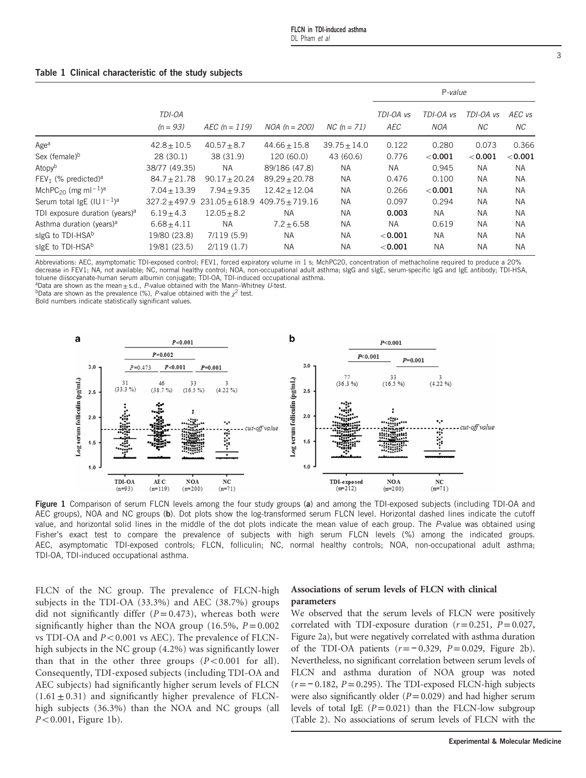|                                                         |                      |                 |                                                    |                  | P-value          |                  |                  |               |
|---------------------------------------------------------|----------------------|-----------------|----------------------------------------------------|------------------|------------------|------------------|------------------|---------------|
|                                                         | TDI-OA<br>$(n = 93)$ | $AEC (n = 119)$ | $NOA (n = 200)$                                    | $NC (n = 71)$    | TDI-OA vs<br>AEC | TDI-OA vs<br>NOA | TDI-OA vs<br>NC. | AEC vs<br>NC. |
| Age <sup>a</sup>                                        | $42.8 \pm 10.5$      | $40.57 + 8.7$   | $44.66 + 15.8$                                     | $39.75 \pm 14.0$ | 0.122            | 0.280            | 0.073            | 0.366         |
| Sex (female) <sup>b</sup>                               | 28(30.1)             | 38 (31.9)       | 120 (60.0)                                         | 43 (60.6)        | 0.776            | < 0.001          | < 0.001          | < 0.001       |
| Atopv <sup>b</sup>                                      | 38/77 (49.35)        | <b>NA</b>       | 89/186 (47.8)                                      | <b>NA</b>        | <b>NA</b>        | 0.945            | <b>NA</b>        | <b>NA</b>     |
| $FEV1$ (% predicted) <sup>a</sup>                       | $84.7 \pm 21.78$     | $90.17 + 20.24$ | $89.29 + 20.78$                                    | NA               | 0.476            | 0.100            | <b>NA</b>        | <b>NA</b>     |
| MchPC <sub>20</sub> (mg ml <sup>-1</sup> ) <sup>a</sup> | $7.04 + 13.39$       | $7.94 + 9.35$   | $12.42 \pm 12.04$                                  | <b>NA</b>        | 0.266            | < 0.001          | <b>NA</b>        | <b>NA</b>     |
| Serum total IgE (IU $1^{-1}$ ) <sup>a</sup>             |                      |                 | $327.2 + 497.9$ $231.05 + 618.9$ $409.75 + 719.16$ | <b>NA</b>        | 0.097            | 0.294            | <b>NA</b>        | <b>NA</b>     |
| TDI exposure duration (years) <sup>a</sup>              | $6.19 \pm 4.3$       | $12.05 + 8.2$   | <b>NA</b>                                          | <b>NA</b>        | 0.003            | NA.              | <b>NA</b>        | <b>NA</b>     |
| Asthma duration (years) <sup>a</sup>                    | $6.68 \pm 4.11$      | <b>NA</b>       | $7.2 \pm 6.58$                                     | <b>NA</b>        | <b>NA</b>        | 0.619            | <b>NA</b>        | <b>NA</b>     |
| slgG to TDI-HSA <sup>b</sup>                            | 19/80 (23.8)         | 7/119(5.9)      | <b>NA</b>                                          | <b>NA</b>        | < 0.001          | NA.              | <b>NA</b>        | <b>NA</b>     |
| slgE to TDI-HSA <sup>b</sup>                            | 19/81 (23.5)         | 2/119(1.7)      | <b>NA</b>                                          | <b>NA</b>        | < 0.001          | <b>NA</b>        | <b>NA</b>        | <b>NA</b>     |
|                                                         |                      |                 |                                                    |                  |                  |                  |                  |               |

# <span id="page-2-0"></span>Table 1 Clinical characteristic of the study subjects

Abbreviations: AEC, asymptomatic TDI-exposed control; FEV1, forced expiratory volume in 1 s; MchPC20, concentration of methacholine required to produce a 20% decrease in FEV1; NA, not available; NC, normal healthy control; NOA, non-occupational adult asthma; sIgG and sIgE, serum-specific IgG and IgE antibody; TDI-HSA,

toluene diisocyanate-human serum albumin conjugate; TDI-OA, TDI-induced occupational asthma.<br><sup>a</sup>Data are shown as the mean + s.d., P-value obtained with the Mann-Whitney U-test.

 $b$ Data are shown as the prevalence (%), P-value obtained with the  $\chi^2$  test.

Bold numbers indicate statistically significant values.



Figure 1 Comparison of serum FLCN levels among the four study groups (a) and among the TDI-exposed subjects (including TDI-OA and AEC groups), NOA and NC groups (b). Dot plots show the log-transformed serum FLCN level. Horizontal dashed lines indicate the cutoff value, and horizontal solid lines in the middle of the dot plots indicate the mean value of each group. The P-value was obtained using Fisher's exact test to compare the prevalence of subjects with high serum FLCN levels (%) among the indicated groups. AEC, asymptomatic TDI-exposed controls; FLCN, folliculin; NC, normal healthy controls; NOA, non-occupational adult asthma; TDI-OA, TDI-induced occupational asthma.

FLCN of the NC group. The prevalence of FLCN-high subjects in the TDI-OA (33.3%) and AEC (38.7%) groups did not significantly differ  $(P = 0.473)$ , whereas both were significantly higher than the NOA group (16.5%,  $P = 0.002$ ) vs TDI-OA and  $P<0.001$  vs AEC). The prevalence of FLCNhigh subjects in the NC group (4.2%) was significantly lower than that in the other three groups  $(P<0.001$  for all). Consequently, TDI-exposed subjects (including TDI-OA and AEC subjects) had significantly higher serum levels of FLCN  $(1.61 \pm 0.31)$  and significantly higher prevalence of FLCNhigh subjects (36.3%) than the NOA and NC groups (all  $P < 0.001$ , Figure 1b).

# Associations of serum levels of FLCN with clinical parameters

We observed that the serum levels of FLCN were positively correlated with TDI-exposure duration  $(r=0.251, P=0.027,$ [Figure 2a](#page-3-0)), but were negatively correlated with asthma duration of the TDI-OA patients  $(r=-0.329, P=0.029,$  [Figure 2b](#page-3-0)). Nevertheless, no significant correlation between serum levels of FLCN and asthma duration of NOA group was noted  $(r=-0.182, P=0.295)$ . The TDI-exposed FLCN-high subjects were also significantly older  $(P=0.029)$  and had higher serum levels of total IgE  $(P=0.021)$  than the FLCN-low subgroup [\(Table 2\)](#page-3-0). No associations of serum levels of FLCN with the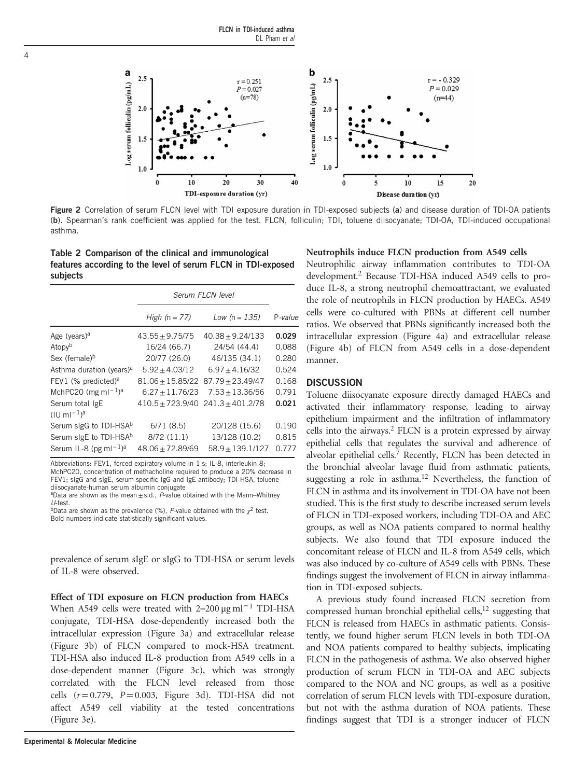<span id="page-3-0"></span>

Figure 2 Correlation of serum FLCN level with TDI exposure duration in TDI-exposed subjects (a) and disease duration of TDI-OA patients (b). Spearman's rank coefficient was applied for the test. FLCN, folliculin; TDI, toluene diisocyanate; TDI-OA, TDI-induced occupational asthma.

Table 2 Comparison of the clinical and immunological features according to the level of serum FLCN in TDI-exposed subjects

|                                           | Serum FLCN level    |                                       |         |
|-------------------------------------------|---------------------|---------------------------------------|---------|
|                                           | High $(n = 77)$     | Low $(n = 135)$                       | P-value |
| Age (years) <sup>a</sup>                  | $43.55 \pm 9.75/75$ | $40.38 + 9.24/133$                    | 0.029   |
| Atopyb                                    | 16/24 (66.7)        | 24/54 (44.4)                          | 0.088   |
| Sex (female) <sup>b</sup>                 | 20/77 (26.0)        | 46/135 (34.1)                         | 0.280   |
| Asthma duration (years) <sup>a</sup>      | $5.92 + 4.03/12$    | $6.97 + 4.16/32$                      | 0.524   |
| FEV1 (% predicted) <sup>a</sup>           | $81.06 + 15.85/22$  | $87.79 + 23.49/47$                    | 0.168   |
| MchPC20 (mg m $I^{-1}$ ) <sup>a</sup>     | $6.27 + 11.76/23$   | $7.53 + 13.36/56$                     | 0.791   |
| Serum total IgE<br>$(10 \text{ m} - 1)^a$ |                     | $410.5 + 723.9/40$ $241.3 + 401.2/78$ | 0.021   |
| Serum sigG to TDI-HSA <sup>b</sup>        | 6/71(8.5)           | 20/128 (15.6)                         | 0.190   |
| Serum sigE to TDI-HSA <sup>b</sup>        | 8/72 (11.1)         | 13/128 (10.2)                         | 0.815   |
| Serum IL-8 (pg m $I^{-1}$ ) <sup>a</sup>  | $48.06 + 72.89/69$  | $58.9 + 139.1/127$                    | 0.777   |

Abbreviations: FEV1, forced expiratory volume in 1 s; IL-8, interleukin 8;

MchPC20, concentration of methacholine required to produce a 20% decrease in FEV1; sIgG and sIgE, serum-specific IgG and IgE antibody; TDI-HSA, toluene diisocyanate-human serum albumin conjugate

aData are shown as the mean  $\pm$  s.d., P-value obtained with the Mann–Whitney U-test.

bData are shown as the prevalence (%), P-value obtained with the  $\chi^2$  test. Bold numbers indicate statistically significant values.

prevalence of serum sIgE or sIgG to TDI-HSA or serum levels of IL-8 were observed.

Effect of TDI exposure on FLCN production from HAECs When A549 cells were treated with 2–200 μg ml<sup>-1</sup> TDI-HSA conjugate, TDI-HSA dose-dependently increased both the intracellular expression [\(Figure 3a](#page-4-0)) and extracellular release ([Figure 3b](#page-4-0)) of FLCN compared to mock-HSA treatment. TDI-HSA also induced IL-8 production from A549 cells in a dose-dependent manner [\(Figure 3c\)](#page-4-0), which was strongly correlated with the FLCN level released from those cells  $(r=0.779, P=0.003,$  [Figure 3d\)](#page-4-0). TDI-HSA did not affect A549 cell viability at the tested concentrations ([Figure 3e\)](#page-4-0).

#### Neutrophils induce FLCN production from A549 cells

Neutrophilic airway inflammation contributes to TDI-OA development[.2](#page-5-0) Because TDI-HSA induced A549 cells to produce IL-8, a strong neutrophil chemoattractant, we evaluated the role of neutrophils in FLCN production by HAECs. A549 cells were co-cultured with PBNs at different cell number ratios. We observed that PBNs significantly increased both the intracellular expression [\(Figure 4a](#page-4-0)) and extracellular release ([Figure 4b](#page-4-0)) of FLCN from A549 cells in a dose-dependent manner.

#### **DISCUSSION**

Toluene diisocyanate exposure directly damaged HAECs and activated their inflammatory response, leading to airway epithelium impairment and the infiltration of inflammatory cells into the airways[.2](#page-5-0) FLCN is a protein expressed by airway epithelial cells that regulates the survival and adherence of alveolar epithelial cells.[7](#page-5-0) Recently, FLCN has been detected in the bronchial alveolar lavage fluid from asthmatic patients, suggesting a role in asthma.<sup>12</sup> Nevertheless, the function of FLCN in asthma and its involvement in TDI-OA have not been studied. This is the first study to describe increased serum levels of FLCN in TDI-exposed workers, including TDI-OA and AEC groups, as well as NOA patients compared to normal healthy subjects. We also found that TDI exposure induced the concomitant release of FLCN and IL-8 from A549 cells, which was also induced by co-culture of A549 cells with PBNs. These findings suggest the involvement of FLCN in airway inflammation in TDI-exposed subjects.

A previous study found increased FLCN secretion from compressed human bronchial epithelial cells, $12$  suggesting that FLCN is released from HAECs in asthmatic patients. Consistently, we found higher serum FLCN levels in both TDI-OA and NOA patients compared to healthy subjects, implicating FLCN in the pathogenesis of asthma. We also observed higher production of serum FLCN in TDI-OA and AEC subjects compared to the NOA and NC groups, as well as a positive correlation of serum FLCN levels with TDI-exposure duration, but not with the asthma duration of NOA patients. These findings suggest that TDI is a stronger inducer of FLCN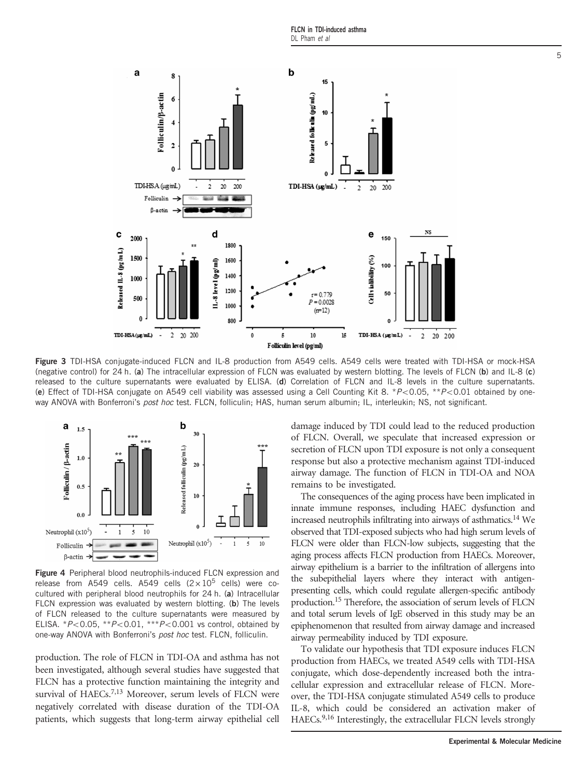FLCN in TDI-induced asthma DL Pham et al

<span id="page-4-0"></span>

Figure 3 TDI-HSA conjugate-induced FLCN and IL-8 production from A549 cells. A549 cells were treated with TDI-HSA or mock-HSA (negative control) for 24 h. (a) The intracellular expression of FLCN was evaluated by western blotting. The levels of FLCN (b) and IL-8 (c) released to the culture supernatants were evaluated by ELISA. (d) Correlation of FLCN and IL-8 levels in the culture supernatants. (e) Effect of TDI-HSA conjugate on A549 cell viability was assessed using a Cell Counting Kit 8. \* $P<0.05$ , \*\* $P<0.01$  obtained by oneway ANOVA with Bonferroni's post hoc test. FLCN, folliculin; HAS, human serum albumin; IL, interleukin; NS, not significant.



Figure 4 Peripheral blood neutrophils-induced FLCN expression and release from A549 cells. A549 cells  $(2 \times 10^5$  cells) were cocultured with peripheral blood neutrophils for 24 h. (a) Intracellular FLCN expression was evaluated by western blotting. (b) The levels of FLCN released to the culture supernatants were measured by ELISA. \* $P < 0.05$ , \*\* $P < 0.01$ , \*\*\* $P < 0.001$  vs control, obtained by one-way ANOVA with Bonferroni's post hoc test. FLCN, folliculin.

production. The role of FLCN in TDI-OA and asthma has not been investigated, although several studies have suggested that FLCN has a protective function maintaining the integrity and survival of HAECs.<sup>[7,13](#page-5-0)</sup> Moreover, serum levels of FLCN were negatively correlated with disease duration of the TDI-OA patients, which suggests that long-term airway epithelial cell damage induced by TDI could lead to the reduced production of FLCN. Overall, we speculate that increased expression or secretion of FLCN upon TDI exposure is not only a consequent response but also a protective mechanism against TDI-induced airway damage. The function of FLCN in TDI-OA and NOA remains to be investigated.

The consequences of the aging process have been implicated in innate immune responses, including HAEC dysfunction and increased neutrophils infiltrating into airways of asthmatics[.14](#page-5-0) We observed that TDI-exposed subjects who had high serum levels of FLCN were older than FLCN-low subjects, suggesting that the aging process affects FLCN production from HAECs. Moreover, airway epithelium is a barrier to the infiltration of allergens into the subepithelial layers where they interact with antigenpresenting cells, which could regulate allergen-specific antibody production[.15](#page-5-0) Therefore, the association of serum levels of FLCN and total serum levels of IgE observed in this study may be an epiphenomenon that resulted from airway damage and increased airway permeability induced by TDI exposure.

To validate our hypothesis that TDI exposure induces FLCN production from HAECs, we treated A549 cells with TDI-HSA conjugate, which dose-dependently increased both the intracellular expression and extracellular release of FLCN. Moreover, the TDI-HSA conjugate stimulated A549 cells to produce IL-8, which could be considered an activation maker of HAECs.<sup>9,16</sup> Interestingly, the extracellular FLCN levels strongly

5